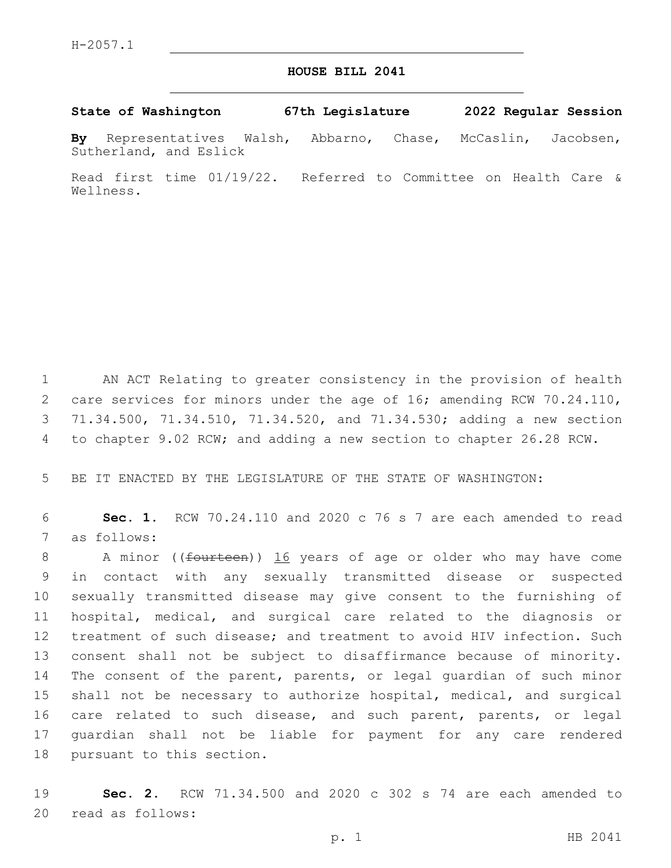## **HOUSE BILL 2041**

**State of Washington 67th Legislature 2022 Regular Session**

**By** Representatives Walsh, Abbarno, Chase, McCaslin, Jacobsen, Sutherland, and Eslick

Read first time 01/19/22. Referred to Committee on Health Care & Wellness.

 AN ACT Relating to greater consistency in the provision of health 2 care services for minors under the age of 16; amending RCW 70.24.110, 71.34.500, 71.34.510, 71.34.520, and 71.34.530; adding a new section to chapter 9.02 RCW; and adding a new section to chapter 26.28 RCW.

5 BE IT ENACTED BY THE LEGISLATURE OF THE STATE OF WASHINGTON:

6 **Sec. 1.** RCW 70.24.110 and 2020 c 76 s 7 are each amended to read 7 as follows:

8 A minor ((<del>fourteen</del>)) 16 years of age or older who may have come in contact with any sexually transmitted disease or suspected sexually transmitted disease may give consent to the furnishing of hospital, medical, and surgical care related to the diagnosis or treatment of such disease; and treatment to avoid HIV infection. Such consent shall not be subject to disaffirmance because of minority. The consent of the parent, parents, or legal guardian of such minor shall not be necessary to authorize hospital, medical, and surgical 16 care related to such disease, and such parent, parents, or legal guardian shall not be liable for payment for any care rendered 18 pursuant to this section.

19 **Sec. 2.** RCW 71.34.500 and 2020 c 302 s 74 are each amended to 20 read as follows: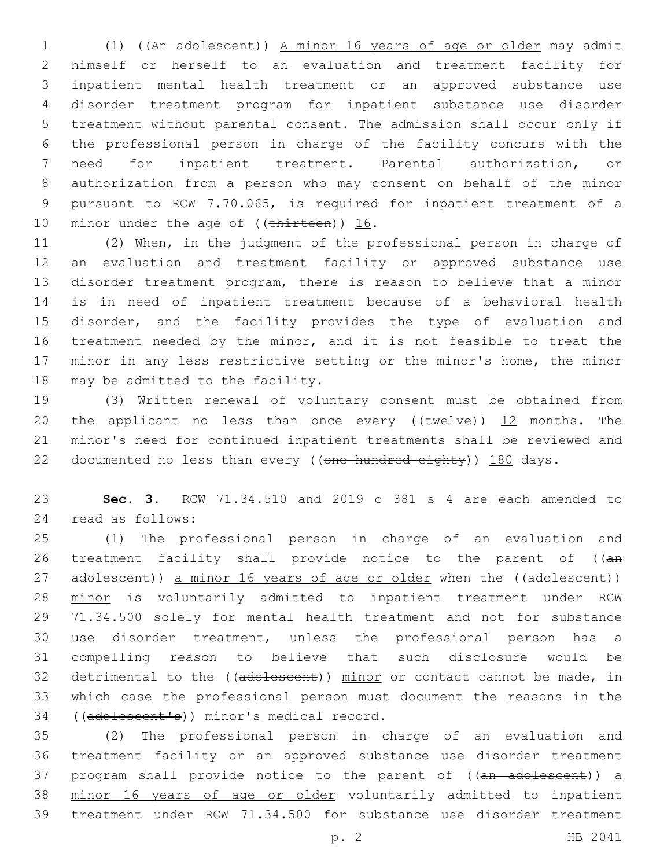(1) ((An adolescent)) A minor 16 years of age or older may admit himself or herself to an evaluation and treatment facility for inpatient mental health treatment or an approved substance use disorder treatment program for inpatient substance use disorder treatment without parental consent. The admission shall occur only if the professional person in charge of the facility concurs with the need for inpatient treatment. Parental authorization, or authorization from a person who may consent on behalf of the minor pursuant to RCW 7.70.065, is required for inpatient treatment of a 10 minor under the age of  $((\text{thittreen}))$  16.

 (2) When, in the judgment of the professional person in charge of an evaluation and treatment facility or approved substance use disorder treatment program, there is reason to believe that a minor is in need of inpatient treatment because of a behavioral health disorder, and the facility provides the type of evaluation and treatment needed by the minor, and it is not feasible to treat the minor in any less restrictive setting or the minor's home, the minor 18 may be admitted to the facility.

 (3) Written renewal of voluntary consent must be obtained from 20 the applicant no less than once every  $((\text{twelve}))$  12 months. The minor's need for continued inpatient treatments shall be reviewed and 22 documented no less than every ((one hundred eighty)) 180 days.

 **Sec. 3.** RCW 71.34.510 and 2019 c 381 s 4 are each amended to read as follows:24

 (1) The professional person in charge of an evaluation and 26 treatment facility shall provide notice to the parent of ((an 27 adolescent)) a minor 16 years of age or older when the ((adolescent)) minor is voluntarily admitted to inpatient treatment under RCW 71.34.500 solely for mental health treatment and not for substance use disorder treatment, unless the professional person has a compelling reason to believe that such disclosure would be 32 detrimental to the ((adolescent)) minor or contact cannot be made, in which case the professional person must document the reasons in the 34 ((adolescent's)) minor's medical record.

 (2) The professional person in charge of an evaluation and treatment facility or an approved substance use disorder treatment 37 program shall provide notice to the parent of  $((an - ad - de - a))$  a minor 16 years of age or older voluntarily admitted to inpatient treatment under RCW 71.34.500 for substance use disorder treatment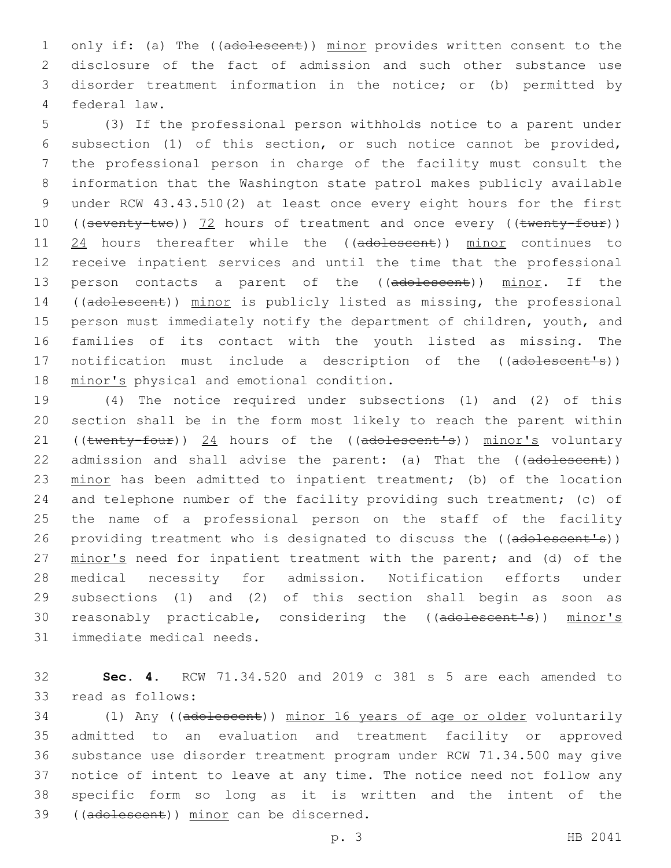1 only if: (a) The ((adolescent)) minor provides written consent to the 2 disclosure of the fact of admission and such other substance use 3 disorder treatment information in the notice; or (b) permitted by 4 federal law.

5 (3) If the professional person withholds notice to a parent under 6 subsection (1) of this section, or such notice cannot be provided, 7 the professional person in charge of the facility must consult the 8 information that the Washington state patrol makes publicly available 9 under RCW 43.43.510(2) at least once every eight hours for the first 10 ((seventy-two)) 72 hours of treatment and once every ((twenty-four)) 11 24 hours thereafter while the ((adolescent)) minor continues to 12 receive inpatient services and until the time that the professional 13 person contacts a parent of the ((adolescent)) minor. If the 14 ((adolescent)) minor is publicly listed as missing, the professional 15 person must immediately notify the department of children, youth, and 16 families of its contact with the youth listed as missing. The 17 notification must include a description of the ((adolescent's)) 18 minor's physical and emotional condition.

 (4) The notice required under subsections (1) and (2) of this section shall be in the form most likely to reach the parent within 21 ((twenty-four)) 24 hours of the ((adolescent's)) minor's voluntary 22 admission and shall advise the parent: (a) That the ((adolescent)) 23 minor has been admitted to inpatient treatment; (b) of the location and telephone number of the facility providing such treatment; (c) of the name of a professional person on the staff of the facility 26 providing treatment who is designated to discuss the ((adolescent's)) minor's need for inpatient treatment with the parent; and (d) of the medical necessity for admission. Notification efforts under subsections (1) and (2) of this section shall begin as soon as reasonably practicable, considering the ((adolescent's)) minor's 31 immediate medical needs.

32 **Sec. 4.** RCW 71.34.520 and 2019 c 381 s 5 are each amended to 33 read as follows:

 (1) Any ((adolescent)) minor 16 years of age or older voluntarily admitted to an evaluation and treatment facility or approved substance use disorder treatment program under RCW 71.34.500 may give notice of intent to leave at any time. The notice need not follow any specific form so long as it is written and the intent of the 39 ((adolescent)) minor can be discerned.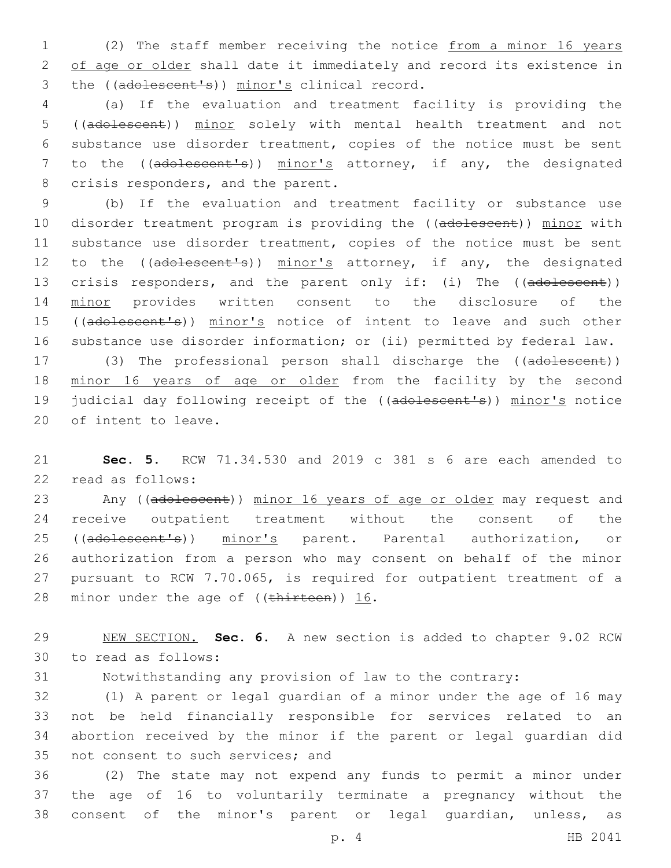1 (2) The staff member receiving the notice from a minor 16 years 2 of age or older shall date it immediately and record its existence in 3 the ((adolescent's)) minor's clinical record.

4 (a) If the evaluation and treatment facility is providing the 5 ((adolescent)) minor solely with mental health treatment and not 6 substance use disorder treatment, copies of the notice must be sent 7 to the ((adolescent's)) minor's attorney, if any, the designated 8 crisis responders, and the parent.

9 (b) If the evaluation and treatment facility or substance use 10 disorder treatment program is providing the ((adolescent)) minor with 11 substance use disorder treatment, copies of the notice must be sent 12 to the ((adolescent's)) minor's attorney, if any, the designated 13 crisis responders, and the parent only if: (i) The ((adolescent)) 14 minor provides written consent to the disclosure of the 15 ((adolescent's)) minor's notice of intent to leave and such other 16 substance use disorder information; or (ii) permitted by federal law.

17 (3) The professional person shall discharge the ((adolescent)) 18 minor 16 years of age or older from the facility by the second 19 judicial day following receipt of the ((adolescent's)) minor's notice 20 of intent to leave.

21 **Sec. 5.** RCW 71.34.530 and 2019 c 381 s 6 are each amended to 22 read as follows:

23 Any ((adolescent)) minor 16 years of age or older may request and 24 receive outpatient treatment without the consent of the 25 ((adolescent's)) minor's parent. Parental authorization, or 26 authorization from a person who may consent on behalf of the minor 27 pursuant to RCW 7.70.065, is required for outpatient treatment of a 28 minor under the age of  $((\text{thitrteen}))$  16.

29 NEW SECTION. **Sec. 6.** A new section is added to chapter 9.02 RCW 30 to read as follows:

31 Notwithstanding any provision of law to the contrary:

 (1) A parent or legal guardian of a minor under the age of 16 may not be held financially responsible for services related to an abortion received by the minor if the parent or legal guardian did 35 not consent to such services; and

36 (2) The state may not expend any funds to permit a minor under 37 the age of 16 to voluntarily terminate a pregnancy without the 38 consent of the minor's parent or legal guardian, unless, as